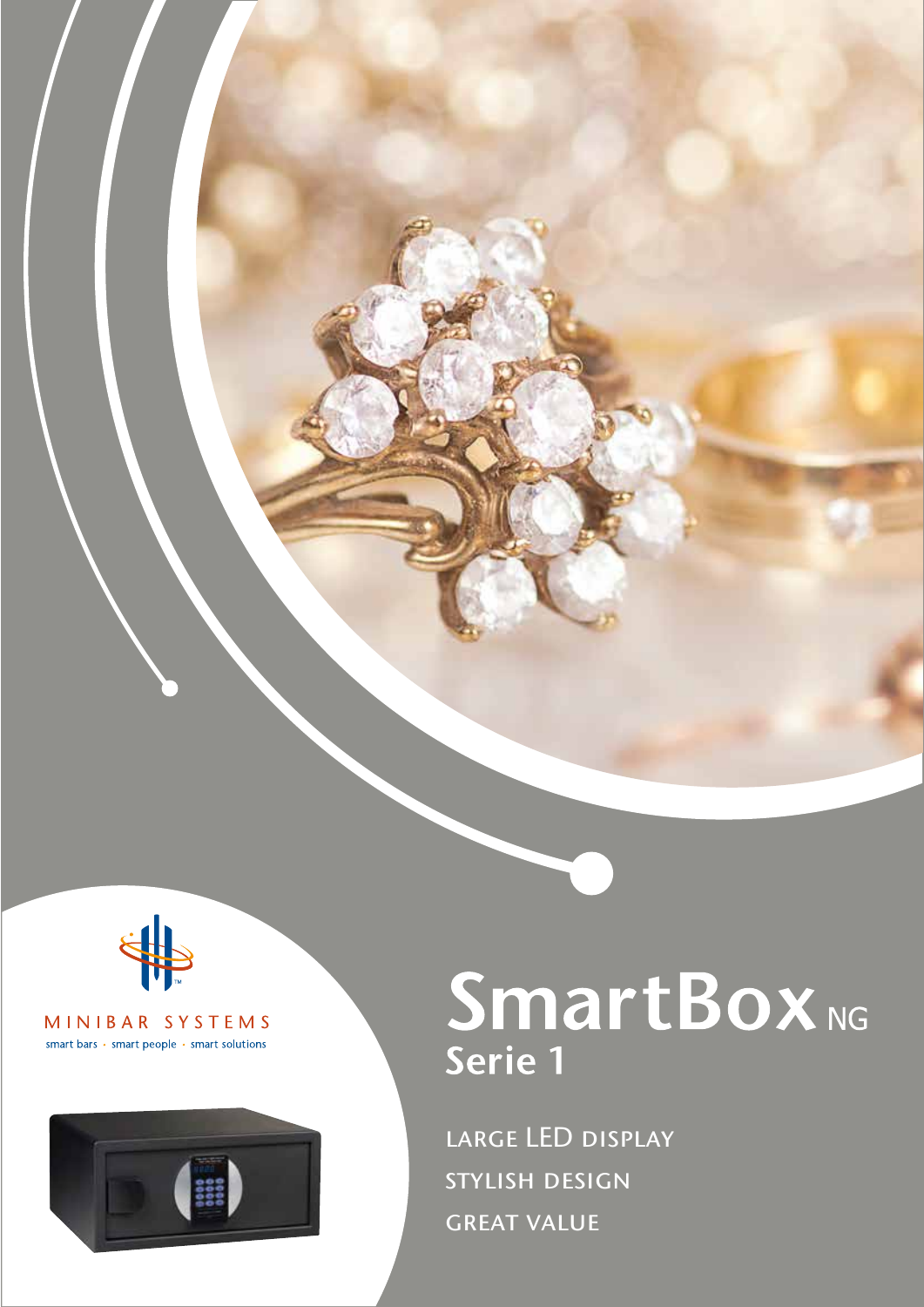

#### MINIBAR SYSTEMS smart bars • smart people • smart solutions



# **SmartBox** NG Serie 1

large LED display stylish design **GREAT VALUE**